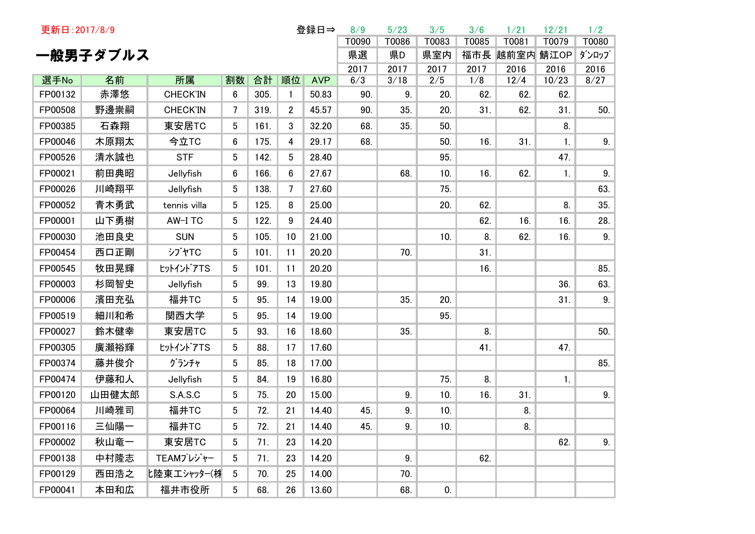| 登録日⇒<br>更新日: 2017/8/9 |           |                       |                 |            |                    |                     | 8/9        | 5/23       | 3/5        | 3/6         | 1/21        | 12/21        | 1/2   |
|-----------------------|-----------|-----------------------|-----------------|------------|--------------------|---------------------|------------|------------|------------|-------------|-------------|--------------|-------|
|                       |           |                       |                 |            |                    |                     | T0090      | T0086      | T0083      | T0085       | T0081       | T0079        | T0080 |
|                       | 一般男子ダブルス  |                       |                 |            |                    |                     | 県選         | 県D         | 県室内        | 福市長         | 越前室内 鯖江OP   |              | ダンロップ |
|                       |           |                       |                 |            |                    |                     | 2017       | 2017       | 2017       | 2017<br>1/8 | 2016        | 2016         | 2016  |
| 選手No<br>FP00132       | 名前<br>赤澤悠 | 所属<br><b>CHECK'IN</b> | 割数<br>6         | 合計<br>305. | 順位<br>$\mathbf{1}$ | <b>AVP</b><br>50.83 | 6/3<br>90. | 3/18<br>9. | 2/5<br>20. | 62.         | 12/4<br>62. | 10/23<br>62. | 8/27  |
| FP00508               | 野邊崇嗣      | <b>CHECK'IN</b>       | $\overline{7}$  | 319.       | $\overline{2}$     | 45.57               |            |            | 20.        |             | 62.         |              | 50.   |
|                       |           |                       |                 |            |                    |                     | 90.        | 35.        |            | 31.         |             | 31.          |       |
| FP00385               | 石森翔       | 東安居TC                 | 5               | 161.       | 3                  | 32.20               | 68.        | 35.        | 50.        |             |             | 8.           |       |
| FP00046               | 木原翔太      | 今立TC                  | $6\phantom{.}6$ | 175.       | 4                  | 29.17               | 68.        |            | 50.        | 16.         | 31.         | 1.           | 9.    |
| FP00526               | 清水誠也      | <b>STF</b>            | 5               | 142.       | 5                  | 28.40               |            |            | 95.        |             |             | 47.          |       |
| FP00021               | 前田典昭      | Jellyfish             | 6               | 166.       | 6                  | 27.67               |            | 68.        | 10.        | 16.         | 62.         | 1.           | 9.    |
| FP00026               | 川崎翔平      | Jellyfish             | 5               | 138.       | 7                  | 27.60               |            |            | 75.        |             |             |              | 63.   |
| FP00052               | 青木勇武      | tennis villa          | 5               | 125.       | 8                  | 25.00               |            |            | 20.        | 62.         |             | 8.           | 35.   |
| FP00001               | 山下勇樹      | AW-I TC               | 5               | 122.       | 9                  | 24.40               |            |            |            | 62.         | 16.         | 16.          | 28.   |
| FP00030               | 池田良史      | <b>SUN</b>            | 5               | 105.       | 10                 | 21.00               |            |            | 10.        | 8.          | 62.         | 16.          | 9.    |
| FP00454               | 西口正剛      | <b>シブヤTC</b>          | 5               | 101.       | 11                 | 20.20               |            | 70.        |            | 31.         |             |              |       |
| FP00545               | 牧田晃輝      | ヒットイントアTS             | 5               | 101.       | 11                 | 20.20               |            |            |            | 16.         |             |              | 85.   |
| FP00003               | 杉岡智史      | Jellyfish             | 5               | 99.        | 13                 | 19.80               |            |            |            |             |             | 36.          | 63.   |
| FP00006               | 濱田充弘      | 福井TC                  | 5               | 95.        | 14                 | 19.00               |            | 35.        | 20.        |             |             | 31.          | 9.    |
| FP00519               | 細川和希      | 関西大学                  | 5               | 95.        | 14                 | 19.00               |            |            | 95.        |             |             |              |       |
| FP00027               | 鈴木健幸      | 東安居TC                 | 5               | 93.        | 16                 | 18.60               |            | 35.        |            | 8.          |             |              | 50.   |
| FP00305               | 廣瀬裕輝      | ヒットイントアTS             | 5               | 88.        | 17                 | 17.60               |            |            |            | 41.         |             | 47.          |       |
| FP00374               | 藤井俊介      | グランチャ                 | 5               | 85.        | 18                 | 17.00               |            |            |            |             |             |              | 85.   |
| FP00474               | 伊藤和人      | Jellyfish             | 5               | 84.        | 19                 | 16.80               |            |            | 75.        | 8.          |             | 1.           |       |
| FP00120               | 山田健太郎     | S.A.S.C               | 5               | 75.        | 20                 | 15.00               |            | 9.         | 10.        | 16.         | 31.         |              | 9.    |
| FP00064               | 川崎雅司      | 福井TC                  | 5               | 72.        | 21                 | 14.40               | 45.        | 9.         | 10.        |             | 8.          |              |       |
| FP00116               | 三仙陽·      | 福井TC                  | 5 <sup>5</sup>  | 72.        | 21                 | 14.40               | 45.        | 9.         | 10.        |             | 8.          |              |       |
| FP00002               | 秋山竜一      | 東安居TC                 | 5               | 71.        | 23                 | 14.20               |            |            |            |             |             | 62.          | 9.    |
| FP00138               | 中村隆志      | TEAMプレジャー             | 5               | 71.        | 23                 | 14.20               |            | 9.         |            | 62.         |             |              |       |
| FP00129               | 西田浩之      | 匕陸東エシャッター(桝           | 5               | 70.        | 25                 | 14.00               |            | 70.        |            |             |             |              |       |
| FP00041               | 本田和広      | 福井市役所                 | 5               | 68.        | 26                 | 13.60               |            | 68.        | 0.         |             |             |              |       |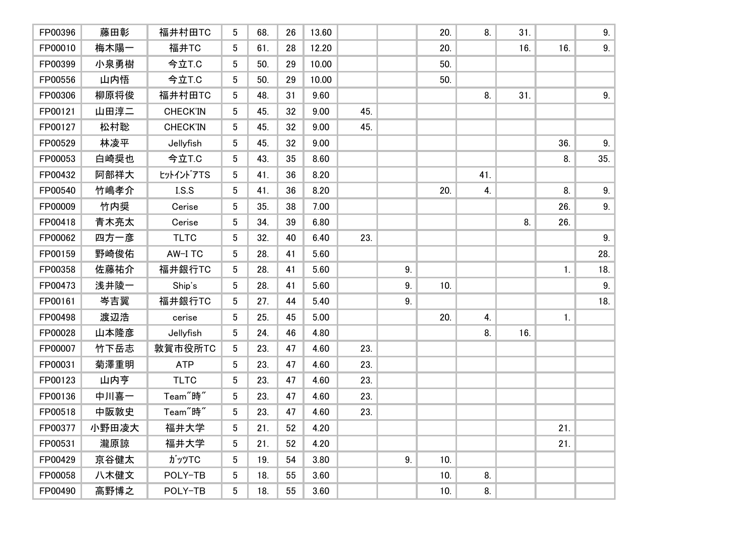| FP00396 | 藤田彰   | 福井村田TC               | 5               | 68. | 26 | 13.60 |     |    | 20. | 8.  | 31. |     | 9.  |
|---------|-------|----------------------|-----------------|-----|----|-------|-----|----|-----|-----|-----|-----|-----|
| FP00010 | 梅木陽一  | 福井TC                 | 5               | 61. | 28 | 12.20 |     |    | 20. |     | 16. | 16. | 9.  |
| FP00399 | 小泉勇樹  | 今立T.C                | 5               | 50. | 29 | 10.00 |     |    | 50. |     |     |     |     |
| FP00556 | 山内悟   | 今立T.C                | 5               | 50. | 29 | 10.00 |     |    | 50. |     |     |     |     |
| FP00306 | 柳原将俊  | 福井村田TC               | 5               | 48. | 31 | 9.60  |     |    |     | 8.  | 31. |     | 9.  |
| FP00121 | 山田淳二  | <b>CHECK'IN</b>      | 5               | 45. | 32 | 9.00  | 45. |    |     |     |     |     |     |
| FP00127 | 松村聡   | <b>CHECK'IN</b>      | 5               | 45. | 32 | 9.00  | 45. |    |     |     |     |     |     |
| FP00529 | 林凌平   | Jellyfish            | 5               | 45. | 32 | 9.00  |     |    |     |     |     | 36. | 9.  |
| FP00053 | 白崎奨也  | 今立T.C                | 5               | 43. | 35 | 8.60  |     |    |     |     |     | 8.  | 35. |
| FP00432 | 阿部祥大  | tットイントアTS            | 5 <sup>5</sup>  | 41. | 36 | 8.20  |     |    |     | 41. |     |     |     |
| FP00540 | 竹嶋孝介  | LS.S                 | 5 <sup>5</sup>  | 41. | 36 | 8.20  |     |    | 20. | 4.  |     | 8.  | 9.  |
| FP00009 | 竹内奨   | Cerise               | $5\phantom{.0}$ | 35. | 38 | 7.00  |     |    |     |     |     | 26. | 9.  |
| FP00418 | 青木亮太  | Cerise               | 5               | 34. | 39 | 6.80  |     |    |     |     | 8.  | 26. |     |
| FP00062 | 四方一彦  | <b>TLTC</b>          | 5               | 32. | 40 | 6.40  | 23. |    |     |     |     |     | 9.  |
| FP00159 | 野崎俊佑  | AW-I TC              | $5\phantom{.0}$ | 28. | 41 | 5.60  |     |    |     |     |     |     | 28. |
| FP00358 | 佐藤祐介  | 福井銀行TC               | 5               | 28. | 41 | 5.60  |     | 9. |     |     |     | 1.  | 18. |
| FP00473 | 浅井陵一  | Ship's               | 5               | 28. | 41 | 5.60  |     | 9. | 10. |     |     |     | 9.  |
| FP00161 | 岑吉翼   | 福井銀行TC               | 5               | 27. | 44 | 5.40  |     | 9. |     |     |     |     | 18. |
| FP00498 | 渡辺浩   | cerise               | 5               | 25. | 45 | 5.00  |     |    | 20. | 4.  |     | 1.  |     |
| FP00028 | 山本隆彦  | Jellyfish            | 5               | 24. | 46 | 4.80  |     |    |     | 8.  | 16. |     |     |
| FP00007 | 竹下岳志  | 敦賀市役所TC              | 5               | 23. | 47 | 4.60  | 23. |    |     |     |     |     |     |
| FP00031 | 菊澤重明  | <b>ATP</b>           | 5               | 23. | 47 | 4.60  | 23. |    |     |     |     |     |     |
| FP00123 | 山内亨   | <b>TLTC</b>          | 5               | 23. | 47 | 4.60  | 23. |    |     |     |     |     |     |
| FP00136 | 中川喜一  | Team <sup>"</sup> 時" | 5               | 23. | 47 | 4.60  | 23. |    |     |     |     |     |     |
| FP00518 | 中阪敦史  | Team <sup>"</sup> 時" | 5               | 23. | 47 | 4.60  | 23. |    |     |     |     |     |     |
| FP00377 | 小野田凌大 | 福井大学                 | 5 <sub>5</sub>  | 21. | 52 | 4.20  |     |    |     |     |     | 21. |     |
| FP00531 | 瀧原諒   | 福井大学                 | 5 <sup>5</sup>  | 21. | 52 | 4.20  |     |    |     |     |     | 21. |     |
| FP00429 | 京谷健太  | ガッツTC                | 5 <sup>5</sup>  | 19. | 54 | 3.80  |     | 9. | 10. |     |     |     |     |
| FP00058 | 八木健文  | POLY-TB              | $5\overline{)}$ | 18. | 55 | 3.60  |     |    | 10. | 8.  |     |     |     |
| FP00490 | 高野博之  | POLY-TB              | 5 <sup>5</sup>  | 18. | 55 | 3.60  |     |    | 10. | 8.  |     |     |     |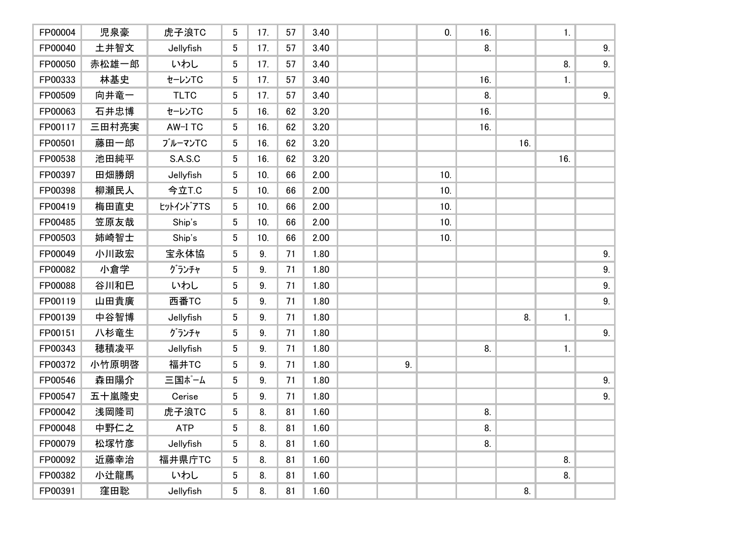| FP00004 | 児泉豪   | 虎子浪TC       | 5               | 17. | 57 | 3.40 |    | 0.  | 16. |     | 1.  |    |
|---------|-------|-------------|-----------------|-----|----|------|----|-----|-----|-----|-----|----|
| FP00040 | 土井智文  | Jellyfish   | 5               | 17. | 57 | 3.40 |    |     | 8.  |     |     | 9. |
| FP00050 | 赤松雄一郎 | いわし         | 5               | 17. | 57 | 3.40 |    |     |     |     | 8.  | 9. |
| FP00333 | 林基史   | セーレンTC      | 5               | 17. | 57 | 3.40 |    |     | 16. |     | 1.  |    |
| FP00509 | 向井竜一  | <b>TLTC</b> | 5               | 17. | 57 | 3.40 |    |     | 8.  |     |     | 9. |
| FP00063 | 石井忠博  | セーレンTC      | 5               | 16. | 62 | 3.20 |    |     | 16. |     |     |    |
| FP00117 | 三田村亮実 | AW-I TC     | 5 <sup>5</sup>  | 16. | 62 | 3.20 |    |     | 16. |     |     |    |
| FP00501 | 藤田一郎  | ブルーマンTC     | 5               | 16. | 62 | 3.20 |    |     |     | 16. |     |    |
| FP00538 | 池田純平  | S.A.S.C     | 5               | 16. | 62 | 3.20 |    |     |     |     | 16. |    |
| FP00397 | 田畑勝朗  | Jellyfish   | 5               | 10. | 66 | 2.00 |    | 10. |     |     |     |    |
| FP00398 | 柳瀬民人  | 今立T.C       | 5               | 10. | 66 | 2.00 |    | 10. |     |     |     |    |
| FP00419 | 梅田直史  | tットイントアTS   | 5               | 10. | 66 | 2.00 |    | 10. |     |     |     |    |
| FP00485 | 笠原友哉  | Ship's      | 5               | 10. | 66 | 2.00 |    | 10. |     |     |     |    |
| FP00503 | 姉崎智士  | Ship's      | 5               | 10. | 66 | 2.00 |    | 10. |     |     |     |    |
| FP00049 | 小川政宏  | 宝永体協        | 5               | 9.  | 71 | 1.80 |    |     |     |     |     | 9. |
| FP00082 | 小倉学   | グランチャ       | 5 <sup>5</sup>  | 9.  | 71 | 1.80 |    |     |     |     |     | 9. |
| FP00088 | 谷川和巳  | いわし         | 5 <sup>5</sup>  | 9.  | 71 | 1.80 |    |     |     |     |     | 9. |
| FP00119 | 山田貴廣  | 西番TC        | 5               | 9.  | 71 | 1.80 |    |     |     |     |     | 9. |
| FP00139 | 中谷智博  | Jellyfish   | 5               | 9.  | 71 | 1.80 |    |     |     | 8.  | 1.  |    |
| FP00151 | 八杉竜生  | グランチャ       | 5               | 9.  | 71 | 1.80 |    |     |     |     |     | 9. |
| FP00343 | 穂積凌平  | Jellyfish   | 5               | 9.  | 71 | 1.80 |    |     | 8.  |     | 1.  |    |
| FP00372 | 小竹原明啓 | 福井TC        | 5               | 9.  | 71 | 1.80 | 9. |     |     |     |     |    |
| FP00546 | 森田陽介  | 三国ポーム       | 5               | 9.  | 71 | 1.80 |    |     |     |     |     | 9. |
| FP00547 | 五十嵐隆史 | Cerise      | 5 <sup>5</sup>  | 9.  | 71 | 1.80 |    |     |     |     |     | 9. |
| FP00042 | 浅岡隆司  | 虎子浪TC       | 5               | 8.  | 81 | 1.60 |    |     | 8.  |     |     |    |
| FP00048 | 中野仁之  | ATP         | 5 <sup>5</sup>  | 8.  | 81 | 1.60 |    |     | 8.  |     |     |    |
| FP00079 | 松塚竹彦  | Jellyfish   | 5               | 8.  | 81 | 1.60 |    |     | 8.  |     |     |    |
| FP00092 | 近藤幸治  | 福井県庁TC      | 5               | 8.  | 81 | 1.60 |    |     |     |     | 8.  |    |
| FP00382 | 小辻龍馬  | いわし         | $5\overline{)}$ | 8.  | 81 | 1.60 |    |     |     |     | 8.  |    |
| FP00391 | 窪田聡   | Jellyfish   | 5 <sup>5</sup>  | 8.  | 81 | 1.60 |    |     |     | 8.  |     |    |